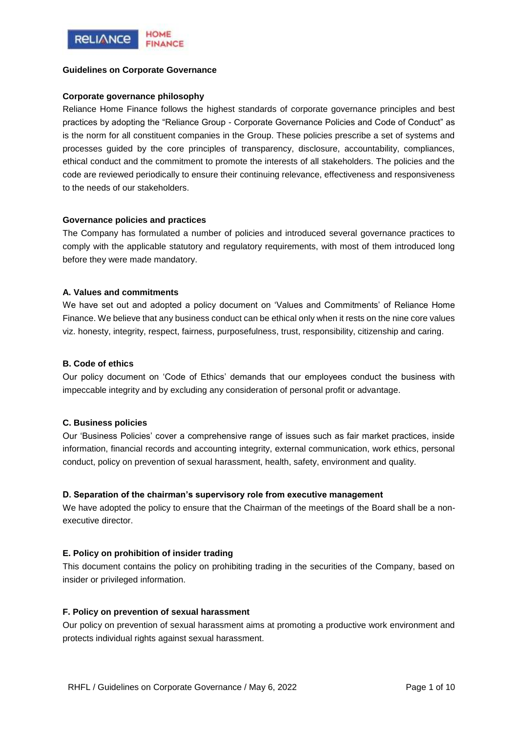

### **Guidelines on Corporate Governance**

### **Corporate governance philosophy**

Reliance Home Finance follows the highest standards of corporate governance principles and best practices by adopting the "Reliance Group - Corporate Governance Policies and Code of Conduct" as is the norm for all constituent companies in the Group. These policies prescribe a set of systems and processes guided by the core principles of transparency, disclosure, accountability, compliances, ethical conduct and the commitment to promote the interests of all stakeholders. The policies and the code are reviewed periodically to ensure their continuing relevance, effectiveness and responsiveness to the needs of our stakeholders.

#### **Governance policies and practices**

The Company has formulated a number of policies and introduced several governance practices to comply with the applicable statutory and regulatory requirements, with most of them introduced long before they were made mandatory.

#### **A. Values and commitments**

We have set out and adopted a policy document on 'Values and Commitments' of Reliance Home Finance. We believe that any business conduct can be ethical only when it rests on the nine core values viz. honesty, integrity, respect, fairness, purposefulness, trust, responsibility, citizenship and caring.

## **B. Code of ethics**

Our policy document on 'Code of Ethics' demands that our employees conduct the business with impeccable integrity and by excluding any consideration of personal profit or advantage.

## **C. Business policies**

Our 'Business Policies' cover a comprehensive range of issues such as fair market practices, inside information, financial records and accounting integrity, external communication, work ethics, personal conduct, policy on prevention of sexual harassment, health, safety, environment and quality.

## **D. Separation of the chairman's supervisory role from executive management**

We have adopted the policy to ensure that the Chairman of the meetings of the Board shall be a nonexecutive director.

#### **E. Policy on prohibition of insider trading**

This document contains the policy on prohibiting trading in the securities of the Company, based on insider or privileged information.

#### **F. Policy on prevention of sexual harassment**

Our policy on prevention of sexual harassment aims at promoting a productive work environment and protects individual rights against sexual harassment.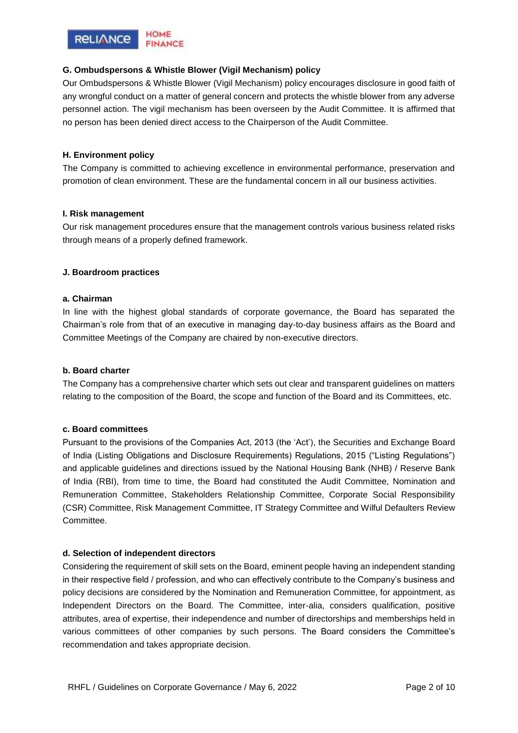

## **G. Ombudspersons & Whistle Blower (Vigil Mechanism) policy**

Our Ombudspersons & Whistle Blower (Vigil Mechanism) policy encourages disclosure in good faith of any wrongful conduct on a matter of general concern and protects the whistle blower from any adverse personnel action. The vigil mechanism has been overseen by the Audit Committee. It is affirmed that no person has been denied direct access to the Chairperson of the Audit Committee.

## **H. Environment policy**

The Company is committed to achieving excellence in environmental performance, preservation and promotion of clean environment. These are the fundamental concern in all our business activities.

## **I. Risk management**

Our risk management procedures ensure that the management controls various business related risks through means of a properly defined framework.

## **J. Boardroom practices**

#### **a. Chairman**

In line with the highest global standards of corporate governance, the Board has separated the Chairman's role from that of an executive in managing day-to-day business affairs as the Board and Committee Meetings of the Company are chaired by non-executive directors.

### **b. Board charter**

The Company has a comprehensive charter which sets out clear and transparent guidelines on matters relating to the composition of the Board, the scope and function of the Board and its Committees, etc.

#### **c. Board committees**

Pursuant to the provisions of the Companies Act, 2013 (the 'Act'), the Securities and Exchange Board of India (Listing Obligations and Disclosure Requirements) Regulations, 2015 ("Listing Regulations") and applicable guidelines and directions issued by the National Housing Bank (NHB) / Reserve Bank of India (RBI), from time to time, the Board had constituted the Audit Committee, Nomination and Remuneration Committee, Stakeholders Relationship Committee, Corporate Social Responsibility (CSR) Committee, Risk Management Committee, IT Strategy Committee and Wilful Defaulters Review Committee.

#### **d. Selection of independent directors**

Considering the requirement of skill sets on the Board, eminent people having an independent standing in their respective field / profession, and who can effectively contribute to the Company's business and policy decisions are considered by the Nomination and Remuneration Committee, for appointment, as Independent Directors on the Board. The Committee, inter-alia, considers qualification, positive attributes, area of expertise, their independence and number of directorships and memberships held in various committees of other companies by such persons. The Board considers the Committee's recommendation and takes appropriate decision.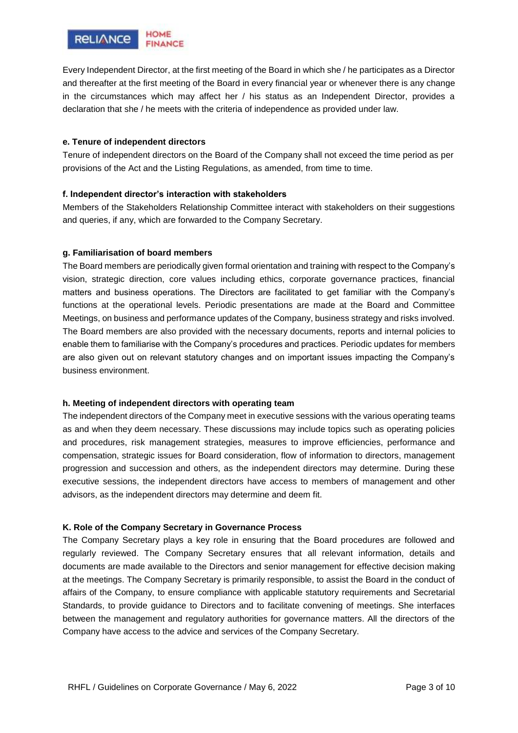

Every Independent Director, at the first meeting of the Board in which she / he participates as a Director and thereafter at the first meeting of the Board in every financial year or whenever there is any change in the circumstances which may affect her / his status as an Independent Director, provides a declaration that she / he meets with the criteria of independence as provided under law.

## **e. Tenure of independent directors**

Tenure of independent directors on the Board of the Company shall not exceed the time period as per provisions of the Act and the Listing Regulations, as amended, from time to time.

## **f. Independent director's interaction with stakeholders**

Members of the Stakeholders Relationship Committee interact with stakeholders on their suggestions and queries, if any, which are forwarded to the Company Secretary.

## **g. Familiarisation of board members**

The Board members are periodically given formal orientation and training with respect to the Company's vision, strategic direction, core values including ethics, corporate governance practices, financial matters and business operations. The Directors are facilitated to get familiar with the Company's functions at the operational levels. Periodic presentations are made at the Board and Committee Meetings, on business and performance updates of the Company, business strategy and risks involved. The Board members are also provided with the necessary documents, reports and internal policies to enable them to familiarise with the Company's procedures and practices. Periodic updates for members are also given out on relevant statutory changes and on important issues impacting the Company's business environment.

#### **h. Meeting of independent directors with operating team**

The independent directors of the Company meet in executive sessions with the various operating teams as and when they deem necessary. These discussions may include topics such as operating policies and procedures, risk management strategies, measures to improve efficiencies, performance and compensation, strategic issues for Board consideration, flow of information to directors, management progression and succession and others, as the independent directors may determine. During these executive sessions, the independent directors have access to members of management and other advisors, as the independent directors may determine and deem fit.

#### **K. Role of the Company Secretary in Governance Process**

The Company Secretary plays a key role in ensuring that the Board procedures are followed and regularly reviewed. The Company Secretary ensures that all relevant information, details and documents are made available to the Directors and senior management for effective decision making at the meetings. The Company Secretary is primarily responsible, to assist the Board in the conduct of affairs of the Company, to ensure compliance with applicable statutory requirements and Secretarial Standards, to provide guidance to Directors and to facilitate convening of meetings. She interfaces between the management and regulatory authorities for governance matters. All the directors of the Company have access to the advice and services of the Company Secretary.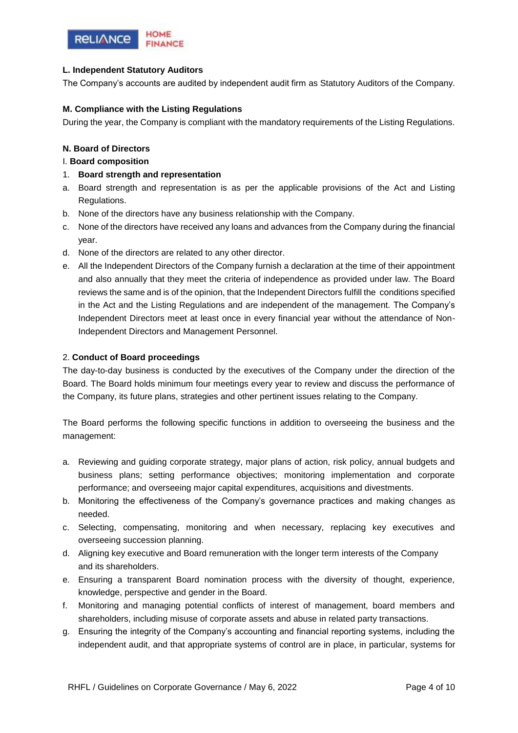

# **L. Independent Statutory Auditors**

The Company's accounts are audited by independent audit firm as Statutory Auditors of the Company.

## **M. Compliance with the Listing Regulations**

During the year, the Company is compliant with the mandatory requirements of the Listing Regulations.

## **N. Board of Directors**

### I. **Board composition**

- 1. **Board strength and representation**
- a. Board strength and representation is as per the applicable provisions of the Act and Listing Regulations.
- b. None of the directors have any business relationship with the Company.
- c. None of the directors have received any loans and advances from the Company during the financial year.
- d. None of the directors are related to any other director.
- e. All the Independent Directors of the Company furnish a declaration at the time of their appointment and also annually that they meet the criteria of independence as provided under law. The Board reviews the same and is of the opinion, that the Independent Directors fulfill the conditions specified in the Act and the Listing Regulations and are independent of the management. The Company's Independent Directors meet at least once in every financial year without the attendance of Non-Independent Directors and Management Personnel.

## 2. **Conduct of Board proceedings**

The day-to-day business is conducted by the executives of the Company under the direction of the Board. The Board holds minimum four meetings every year to review and discuss the performance of the Company, its future plans, strategies and other pertinent issues relating to the Company.

The Board performs the following specific functions in addition to overseeing the business and the management:

- a. Reviewing and guiding corporate strategy, major plans of action, risk policy, annual budgets and business plans; setting performance objectives; monitoring implementation and corporate performance; and overseeing major capital expenditures, acquisitions and divestments.
- b. Monitoring the effectiveness of the Company's governance practices and making changes as needed.
- c. Selecting, compensating, monitoring and when necessary, replacing key executives and overseeing succession planning.
- d. Aligning key executive and Board remuneration with the longer term interests of the Company and its shareholders.
- e. Ensuring a transparent Board nomination process with the diversity of thought, experience, knowledge, perspective and gender in the Board.
- f. Monitoring and managing potential conflicts of interest of management, board members and shareholders, including misuse of corporate assets and abuse in related party transactions.
- g. Ensuring the integrity of the Company's accounting and financial reporting systems, including the independent audit, and that appropriate systems of control are in place, in particular, systems for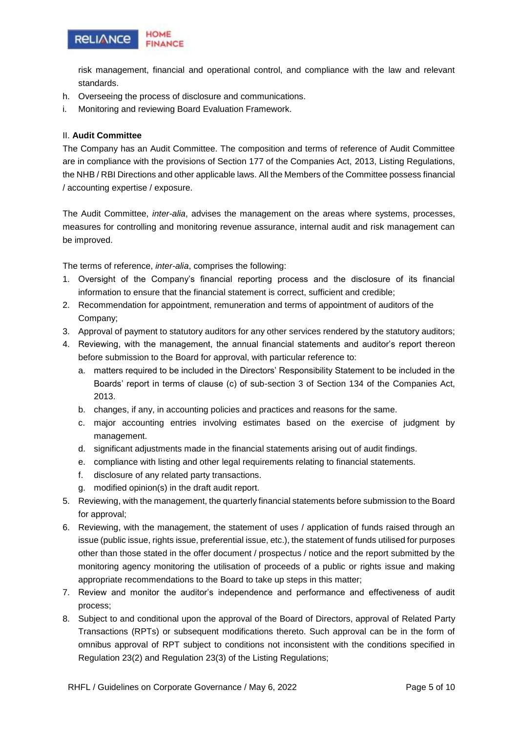

risk management, financial and operational control, and compliance with the law and relevant standards.

- h. Overseeing the process of disclosure and communications.
- i. Monitoring and reviewing Board Evaluation Framework.

## II. **Audit Committee**

The Company has an Audit Committee. The composition and terms of reference of Audit Committee are in compliance with the provisions of Section 177 of the Companies Act, 2013, Listing Regulations, the NHB / RBI Directions and other applicable laws. All the Members of the Committee possess financial / accounting expertise / exposure.

The Audit Committee, *inter-alia*, advises the management on the areas where systems, processes, measures for controlling and monitoring revenue assurance, internal audit and risk management can be improved.

The terms of reference, *inter-alia*, comprises the following:

- 1. Oversight of the Company's financial reporting process and the disclosure of its financial information to ensure that the financial statement is correct, sufficient and credible;
- 2. Recommendation for appointment, remuneration and terms of appointment of auditors of the Company;
- 3. Approval of payment to statutory auditors for any other services rendered by the statutory auditors;
- 4. Reviewing, with the management, the annual financial statements and auditor's report thereon before submission to the Board for approval, with particular reference to:
	- a. matters required to be included in the Directors' Responsibility Statement to be included in the Boards' report in terms of clause (c) of sub-section 3 of Section 134 of the Companies Act, 2013.
	- b. changes, if any, in accounting policies and practices and reasons for the same.
	- c. major accounting entries involving estimates based on the exercise of judgment by management.
	- d. significant adjustments made in the financial statements arising out of audit findings.
	- e. compliance with listing and other legal requirements relating to financial statements.
	- f. disclosure of any related party transactions.
	- g. modified opinion(s) in the draft audit report.
- 5. Reviewing, with the management, the quarterly financial statements before submission to the Board for approval;
- 6. Reviewing, with the management, the statement of uses / application of funds raised through an issue (public issue, rights issue, preferential issue, etc.), the statement of funds utilised for purposes other than those stated in the offer document / prospectus / notice and the report submitted by the monitoring agency monitoring the utilisation of proceeds of a public or rights issue and making appropriate recommendations to the Board to take up steps in this matter;
- 7. Review and monitor the auditor's independence and performance and effectiveness of audit process;
- 8. Subject to and conditional upon the approval of the Board of Directors, approval of Related Party Transactions (RPTs) or subsequent modifications thereto. Such approval can be in the form of omnibus approval of RPT subject to conditions not inconsistent with the conditions specified in Regulation 23(2) and Regulation 23(3) of the Listing Regulations;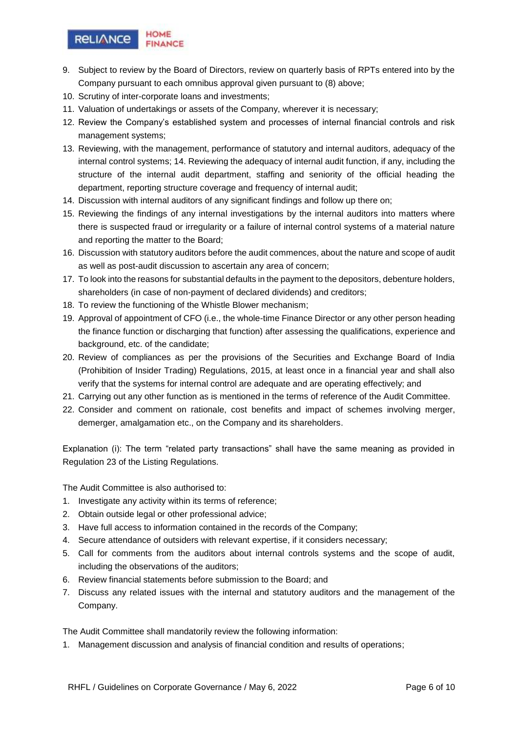

- 9. Subject to review by the Board of Directors, review on quarterly basis of RPTs entered into by the Company pursuant to each omnibus approval given pursuant to (8) above;
- 10. Scrutiny of inter-corporate loans and investments;
- 11. Valuation of undertakings or assets of the Company, wherever it is necessary;
- 12. Review the Company's established system and processes of internal financial controls and risk management systems;
- 13. Reviewing, with the management, performance of statutory and internal auditors, adequacy of the internal control systems; 14. Reviewing the adequacy of internal audit function, if any, including the structure of the internal audit department, staffing and seniority of the official heading the department, reporting structure coverage and frequency of internal audit;
- 14. Discussion with internal auditors of any significant findings and follow up there on;
- 15. Reviewing the findings of any internal investigations by the internal auditors into matters where there is suspected fraud or irregularity or a failure of internal control systems of a material nature and reporting the matter to the Board;
- 16. Discussion with statutory auditors before the audit commences, about the nature and scope of audit as well as post-audit discussion to ascertain any area of concern;
- 17. To look into the reasons for substantial defaults in the payment to the depositors, debenture holders, shareholders (in case of non-payment of declared dividends) and creditors;
- 18. To review the functioning of the Whistle Blower mechanism;
- 19. Approval of appointment of CFO (i.e., the whole-time Finance Director or any other person heading the finance function or discharging that function) after assessing the qualifications, experience and background, etc. of the candidate;
- 20. Review of compliances as per the provisions of the Securities and Exchange Board of India (Prohibition of Insider Trading) Regulations, 2015, at least once in a financial year and shall also verify that the systems for internal control are adequate and are operating effectively; and
- 21. Carrying out any other function as is mentioned in the terms of reference of the Audit Committee.
- 22. Consider and comment on rationale, cost benefits and impact of schemes involving merger, demerger, amalgamation etc., on the Company and its shareholders.

Explanation (i): The term "related party transactions" shall have the same meaning as provided in Regulation 23 of the Listing Regulations.

The Audit Committee is also authorised to:

- 1. Investigate any activity within its terms of reference;
- 2. Obtain outside legal or other professional advice;
- 3. Have full access to information contained in the records of the Company;
- 4. Secure attendance of outsiders with relevant expertise, if it considers necessary;
- 5. Call for comments from the auditors about internal controls systems and the scope of audit, including the observations of the auditors;
- 6. Review financial statements before submission to the Board; and
- 7. Discuss any related issues with the internal and statutory auditors and the management of the Company.

The Audit Committee shall mandatorily review the following information:

1. Management discussion and analysis of financial condition and results of operations;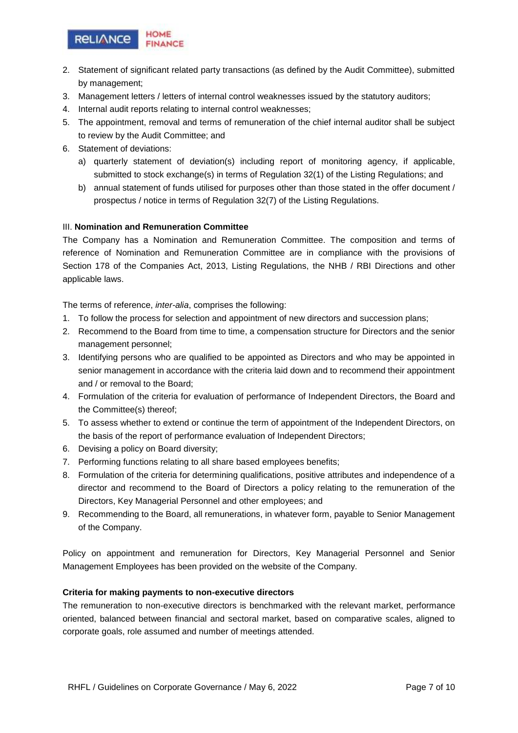

- 2. Statement of significant related party transactions (as defined by the Audit Committee), submitted by management;
- 3. Management letters / letters of internal control weaknesses issued by the statutory auditors;
- 4. Internal audit reports relating to internal control weaknesses;
- 5. The appointment, removal and terms of remuneration of the chief internal auditor shall be subject to review by the Audit Committee; and
- 6. Statement of deviations:
	- a) quarterly statement of deviation(s) including report of monitoring agency, if applicable, submitted to stock exchange(s) in terms of Regulation 32(1) of the Listing Regulations; and
	- b) annual statement of funds utilised for purposes other than those stated in the offer document / prospectus / notice in terms of Regulation 32(7) of the Listing Regulations.

#### III. **Nomination and Remuneration Committee**

The Company has a Nomination and Remuneration Committee. The composition and terms of reference of Nomination and Remuneration Committee are in compliance with the provisions of Section 178 of the Companies Act, 2013, Listing Regulations, the NHB / RBI Directions and other applicable laws.

The terms of reference, *inter-alia*, comprises the following:

- 1. To follow the process for selection and appointment of new directors and succession plans;
- 2. Recommend to the Board from time to time, a compensation structure for Directors and the senior management personnel;
- 3. Identifying persons who are qualified to be appointed as Directors and who may be appointed in senior management in accordance with the criteria laid down and to recommend their appointment and / or removal to the Board;
- 4. Formulation of the criteria for evaluation of performance of Independent Directors, the Board and the Committee(s) thereof;
- 5. To assess whether to extend or continue the term of appointment of the Independent Directors, on the basis of the report of performance evaluation of Independent Directors;
- 6. Devising a policy on Board diversity;
- 7. Performing functions relating to all share based employees benefits;
- 8. Formulation of the criteria for determining qualifications, positive attributes and independence of a director and recommend to the Board of Directors a policy relating to the remuneration of the Directors, Key Managerial Personnel and other employees; and
- 9. Recommending to the Board, all remunerations, in whatever form, payable to Senior Management of the Company.

Policy on appointment and remuneration for Directors, Key Managerial Personnel and Senior Management Employees has been provided on the website of the Company.

#### **Criteria for making payments to non-executive directors**

The remuneration to non-executive directors is benchmarked with the relevant market, performance oriented, balanced between financial and sectoral market, based on comparative scales, aligned to corporate goals, role assumed and number of meetings attended.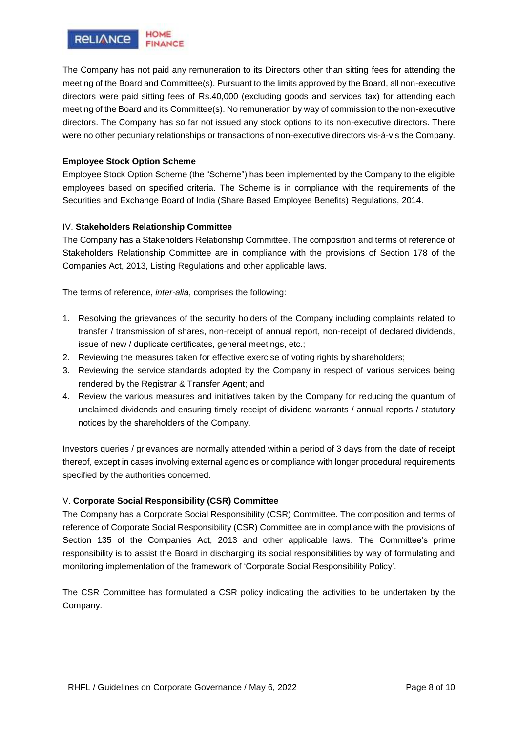

The Company has not paid any remuneration to its Directors other than sitting fees for attending the meeting of the Board and Committee(s). Pursuant to the limits approved by the Board, all non-executive directors were paid sitting fees of Rs.40,000 (excluding goods and services tax) for attending each meeting of the Board and its Committee(s). No remuneration by way of commission to the non-executive directors. The Company has so far not issued any stock options to its non-executive directors. There were no other pecuniary relationships or transactions of non-executive directors vis-à-vis the Company.

## **Employee Stock Option Scheme**

Employee Stock Option Scheme (the "Scheme") has been implemented by the Company to the eligible employees based on specified criteria. The Scheme is in compliance with the requirements of the Securities and Exchange Board of India (Share Based Employee Benefits) Regulations, 2014.

## IV. **Stakeholders Relationship Committee**

The Company has a Stakeholders Relationship Committee. The composition and terms of reference of Stakeholders Relationship Committee are in compliance with the provisions of Section 178 of the Companies Act, 2013, Listing Regulations and other applicable laws.

The terms of reference, *inter-alia*, comprises the following:

- 1. Resolving the grievances of the security holders of the Company including complaints related to transfer / transmission of shares, non-receipt of annual report, non-receipt of declared dividends, issue of new / duplicate certificates, general meetings, etc.;
- 2. Reviewing the measures taken for effective exercise of voting rights by shareholders;
- 3. Reviewing the service standards adopted by the Company in respect of various services being rendered by the Registrar & Transfer Agent; and
- 4. Review the various measures and initiatives taken by the Company for reducing the quantum of unclaimed dividends and ensuring timely receipt of dividend warrants / annual reports / statutory notices by the shareholders of the Company.

Investors queries / grievances are normally attended within a period of 3 days from the date of receipt thereof, except in cases involving external agencies or compliance with longer procedural requirements specified by the authorities concerned.

#### V. **Corporate Social Responsibility (CSR) Committee**

The Company has a Corporate Social Responsibility (CSR) Committee. The composition and terms of reference of Corporate Social Responsibility (CSR) Committee are in compliance with the provisions of Section 135 of the Companies Act, 2013 and other applicable laws. The Committee's prime responsibility is to assist the Board in discharging its social responsibilities by way of formulating and monitoring implementation of the framework of 'Corporate Social Responsibility Policy'.

The CSR Committee has formulated a CSR policy indicating the activities to be undertaken by the Company.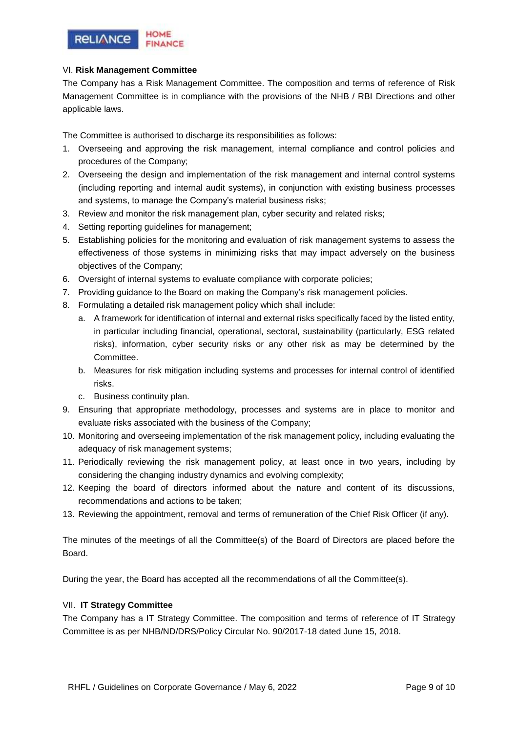

## VI. **Risk Management Committee**

The Company has a Risk Management Committee. The composition and terms of reference of Risk Management Committee is in compliance with the provisions of the NHB / RBI Directions and other applicable laws.

The Committee is authorised to discharge its responsibilities as follows:

- 1. Overseeing and approving the risk management, internal compliance and control policies and procedures of the Company;
- 2. Overseeing the design and implementation of the risk management and internal control systems (including reporting and internal audit systems), in conjunction with existing business processes and systems, to manage the Company's material business risks;
- 3. Review and monitor the risk management plan, cyber security and related risks;
- 4. Setting reporting guidelines for management;
- 5. Establishing policies for the monitoring and evaluation of risk management systems to assess the effectiveness of those systems in minimizing risks that may impact adversely on the business objectives of the Company;
- 6. Oversight of internal systems to evaluate compliance with corporate policies;
- 7. Providing guidance to the Board on making the Company's risk management policies.
- 8. Formulating a detailed risk management policy which shall include:
	- a. A framework for identification of internal and external risks specifically faced by the listed entity, in particular including financial, operational, sectoral, sustainability (particularly, ESG related risks), information, cyber security risks or any other risk as may be determined by the Committee.
	- b. Measures for risk mitigation including systems and processes for internal control of identified risks.
	- c. Business continuity plan.
- 9. Ensuring that appropriate methodology, processes and systems are in place to monitor and evaluate risks associated with the business of the Company;
- 10. Monitoring and overseeing implementation of the risk management policy, including evaluating the adequacy of risk management systems;
- 11. Periodically reviewing the risk management policy, at least once in two years, including by considering the changing industry dynamics and evolving complexity;
- 12. Keeping the board of directors informed about the nature and content of its discussions, recommendations and actions to be taken;
- 13. Reviewing the appointment, removal and terms of remuneration of the Chief Risk Officer (if any).

The minutes of the meetings of all the Committee(s) of the Board of Directors are placed before the Board.

During the year, the Board has accepted all the recommendations of all the Committee(s).

## VII. **IT Strategy Committee**

The Company has a IT Strategy Committee. The composition and terms of reference of IT Strategy Committee is as per NHB/ND/DRS/Policy Circular No. 90/2017-18 dated June 15, 2018.